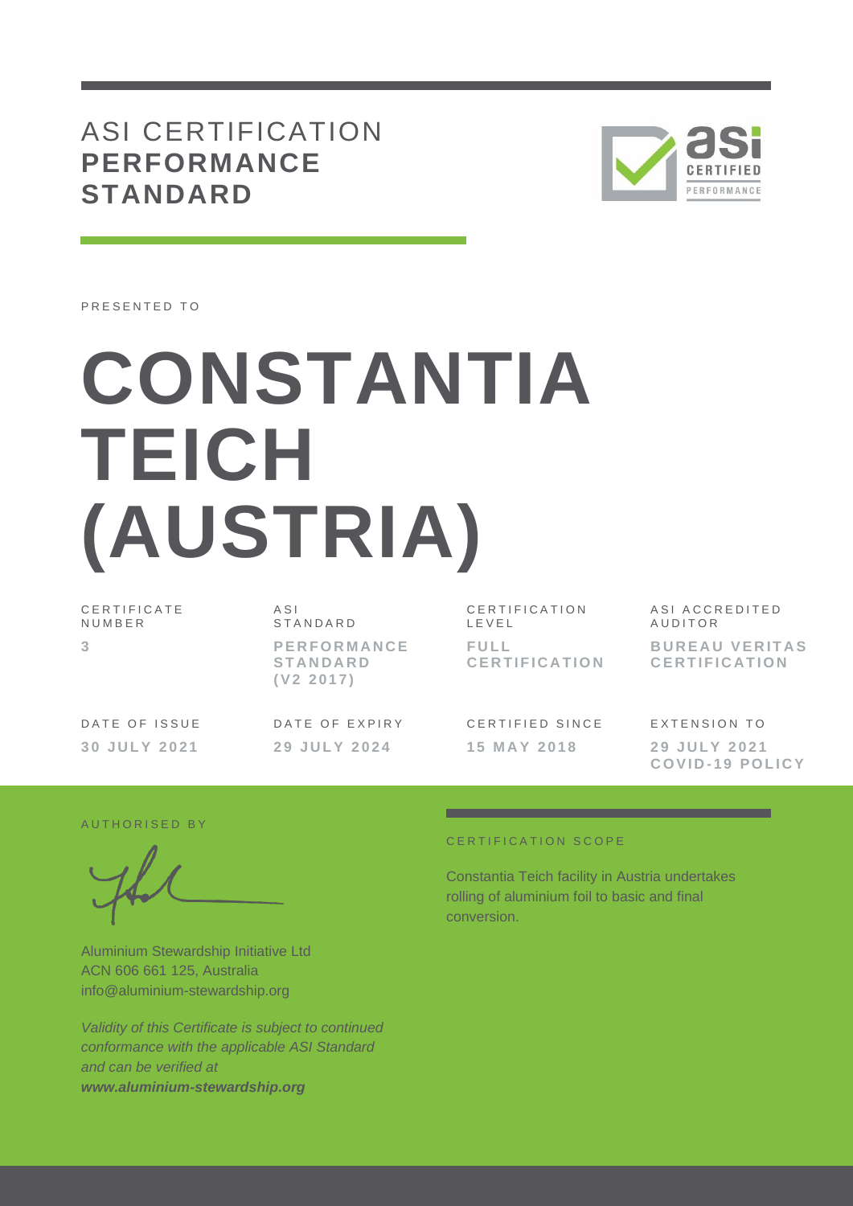## ASI CERTIFICATION **PERFORMANCE STANDARD**



PRESENTED TO

# **CONSTANTIA TEICH (AUSTRIA)**

C E R T I F I C A T E N U M B E R **3**

A S I **STANDARD P E R F O R M A N C E S T A N D A R D ( V 2 2 0 1 7 )**

DATE OF EXPIRY **2 9 J U L Y 2 0 2 4**

CERTIFICATION L E V E L **F U L L C E R T I F I C A T I O N**

CERTIFIED SINCE **1 5 M A Y 2 0 1 8**

ASI ACCREDITED **AUDITOR BUREAU VERITAS C E R T I F I C A T I O N**

EXTENSION TO **2 9 J U L Y 2 0 2 1 C O V I D - 1 9 P O L I C Y**

#### AUTHORISED BY

DATE OF ISSUE **3 0 J U L Y 2 0 2 1**

Aluminium Stewardship Initiative Ltd ACN 606 661 125, Australia info@aluminium-stewardship.org

*Validity of this Certificate is subject to continued conformance with the applicable ASI Standard and can be verified at www.aluminium-stewardship.org*

#### CERTIFICATION SCOPE

Constantia Teich facility in Austria undertakes rolling of aluminium foil to basic and final conversion.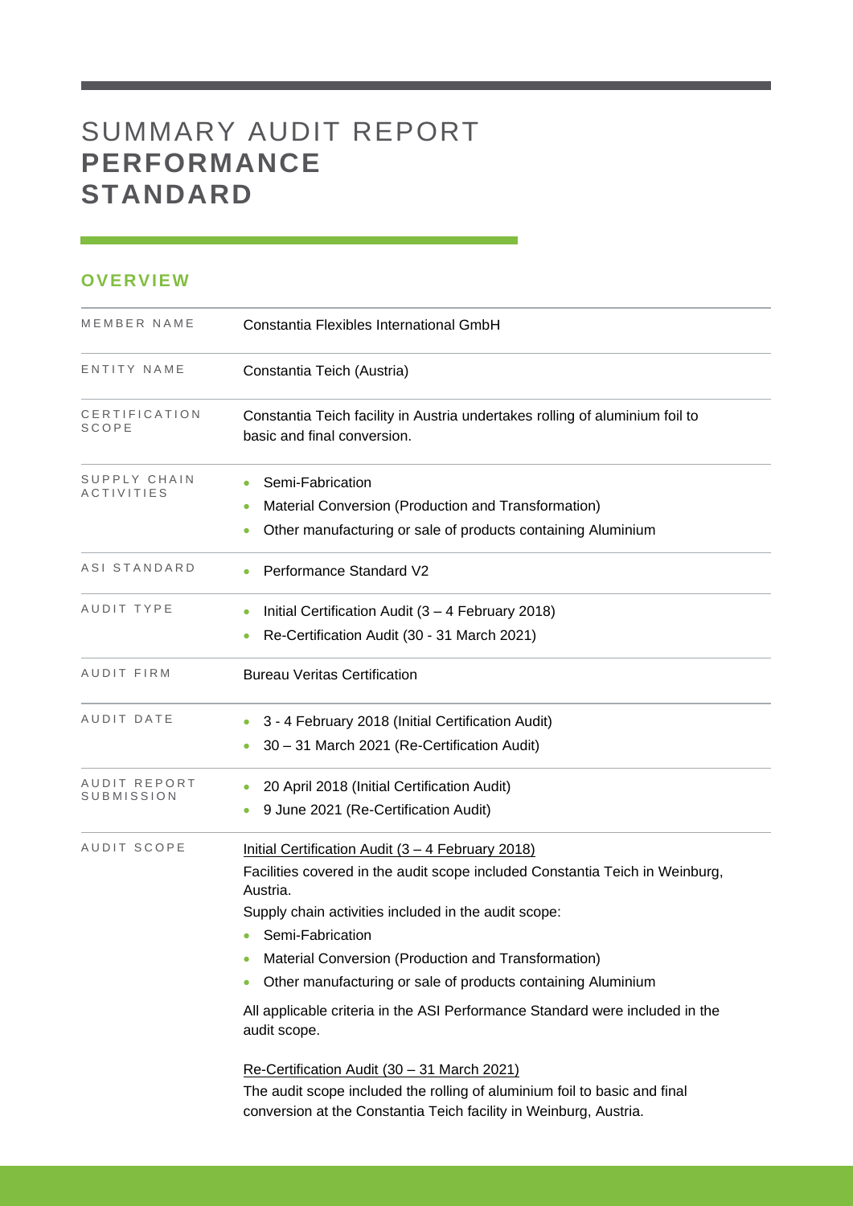# SUMMARY AUDIT REPORT **PERFORMANCE STANDARD**

## **OVERVIEW**

| MEMBER NAME                       | Constantia Flexibles International GmbH                                                                                                                                                                                                                                                                                                                                                                                                          |
|-----------------------------------|--------------------------------------------------------------------------------------------------------------------------------------------------------------------------------------------------------------------------------------------------------------------------------------------------------------------------------------------------------------------------------------------------------------------------------------------------|
| ENTITY NAME                       | Constantia Teich (Austria)                                                                                                                                                                                                                                                                                                                                                                                                                       |
| CERTIFICATION<br>SCOPE            | Constantia Teich facility in Austria undertakes rolling of aluminium foil to<br>basic and final conversion.                                                                                                                                                                                                                                                                                                                                      |
| SUPPLY CHAIN<br><i>ACTIVITIES</i> | Semi-Fabrication<br>Material Conversion (Production and Transformation)<br>Other manufacturing or sale of products containing Aluminium                                                                                                                                                                                                                                                                                                          |
| ASI STANDARD                      | Performance Standard V2                                                                                                                                                                                                                                                                                                                                                                                                                          |
| AUDIT TYPE                        | Initial Certification Audit $(3 - 4$ February 2018)<br>Re-Certification Audit (30 - 31 March 2021)                                                                                                                                                                                                                                                                                                                                               |
| AUDIT FIRM                        | <b>Bureau Veritas Certification</b>                                                                                                                                                                                                                                                                                                                                                                                                              |
| AUDIT DATE                        | 3 - 4 February 2018 (Initial Certification Audit)<br>30 - 31 March 2021 (Re-Certification Audit)                                                                                                                                                                                                                                                                                                                                                 |
| AUDIT REPORT<br>SUBMISSION        | 20 April 2018 (Initial Certification Audit)<br>9 June 2021 (Re-Certification Audit)                                                                                                                                                                                                                                                                                                                                                              |
| AUDIT SCOPE                       | Initial Certification Audit (3 - 4 February 2018)<br>Facilities covered in the audit scope included Constantia Teich in Weinburg,<br>Austria.<br>Supply chain activities included in the audit scope:<br>Semi-Fabrication<br>Material Conversion (Production and Transformation)<br>Other manufacturing or sale of products containing Aluminium<br>All applicable criteria in the ASI Performance Standard were included in the<br>audit scope. |
|                                   | Re-Certification Audit (30 - 31 March 2021)<br>The audit scope included the rolling of aluminium foil to basic and final<br>conversion at the Constantia Teich facility in Weinburg, Austria.                                                                                                                                                                                                                                                    |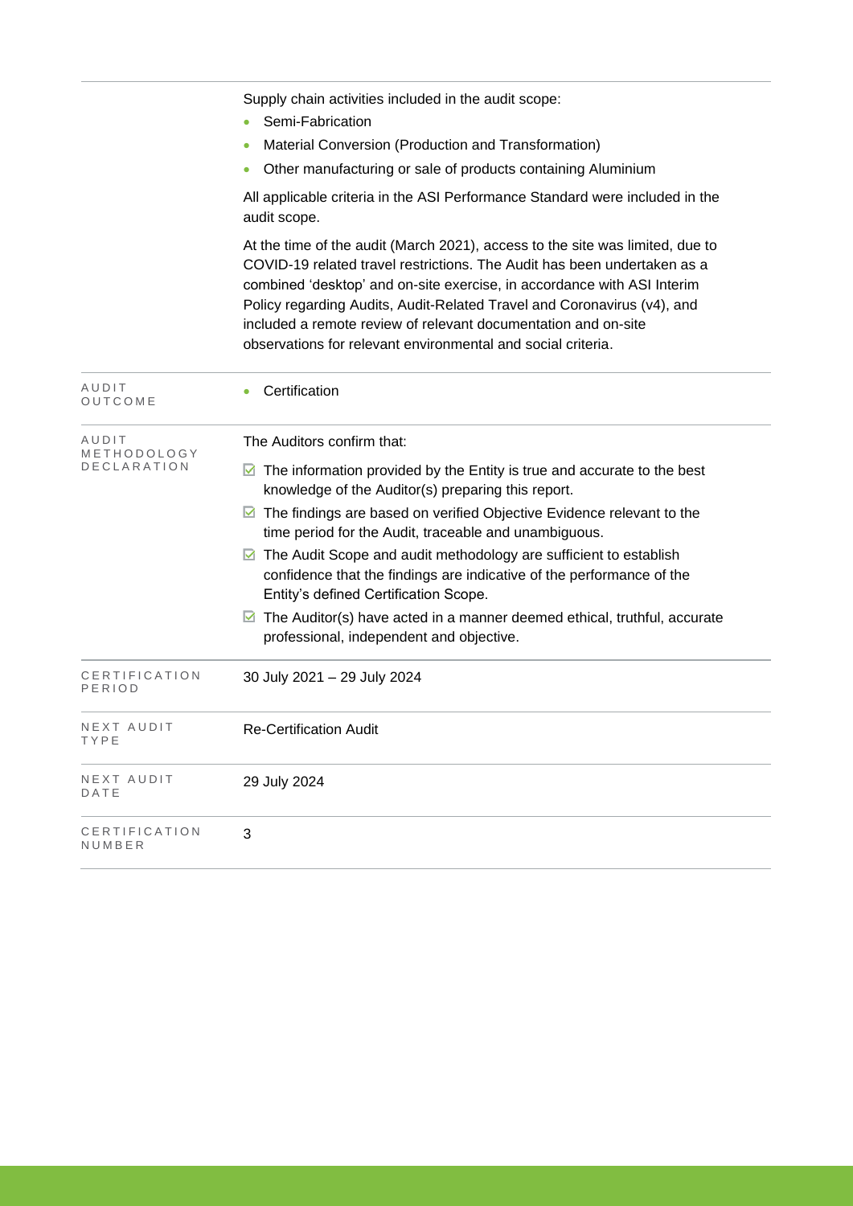|                         | Supply chain activities included in the audit scope:                                                                                                                                                                                                                                                                                                                                                                                              |
|-------------------------|---------------------------------------------------------------------------------------------------------------------------------------------------------------------------------------------------------------------------------------------------------------------------------------------------------------------------------------------------------------------------------------------------------------------------------------------------|
|                         | Semi-Fabrication<br>Material Conversion (Production and Transformation)                                                                                                                                                                                                                                                                                                                                                                           |
|                         | Other manufacturing or sale of products containing Aluminium<br>$\bullet$                                                                                                                                                                                                                                                                                                                                                                         |
|                         | All applicable criteria in the ASI Performance Standard were included in the<br>audit scope.                                                                                                                                                                                                                                                                                                                                                      |
|                         | At the time of the audit (March 2021), access to the site was limited, due to<br>COVID-19 related travel restrictions. The Audit has been undertaken as a<br>combined 'desktop' and on-site exercise, in accordance with ASI Interim<br>Policy regarding Audits, Audit-Related Travel and Coronavirus (v4), and<br>included a remote review of relevant documentation and on-site<br>observations for relevant environmental and social criteria. |
| AUDIT<br>OUTCOME        | Certification<br>۰                                                                                                                                                                                                                                                                                                                                                                                                                                |
| AUDIT<br>METHODOLOGY    | The Auditors confirm that:                                                                                                                                                                                                                                                                                                                                                                                                                        |
| DECLARATION             | The information provided by the Entity is true and accurate to the best<br>M<br>knowledge of the Auditor(s) preparing this report.                                                                                                                                                                                                                                                                                                                |
|                         | The findings are based on verified Objective Evidence relevant to the<br>M<br>time period for the Audit, traceable and unambiguous.                                                                                                                                                                                                                                                                                                               |
|                         | The Audit Scope and audit methodology are sufficient to establish<br>M<br>confidence that the findings are indicative of the performance of the<br>Entity's defined Certification Scope.                                                                                                                                                                                                                                                          |
|                         | The Auditor(s) have acted in a manner deemed ethical, truthful, accurate<br>M<br>professional, independent and objective.                                                                                                                                                                                                                                                                                                                         |
| CERTIFICATION<br>PERIOD | 30 July 2021 - 29 July 2024                                                                                                                                                                                                                                                                                                                                                                                                                       |
| NEXT AUDIT<br>TYPE      | <b>Re-Certification Audit</b>                                                                                                                                                                                                                                                                                                                                                                                                                     |
| NEXT AUDIT<br>DATE      | 29 July 2024                                                                                                                                                                                                                                                                                                                                                                                                                                      |
| CERTIFICATION<br>NUMBER | 3                                                                                                                                                                                                                                                                                                                                                                                                                                                 |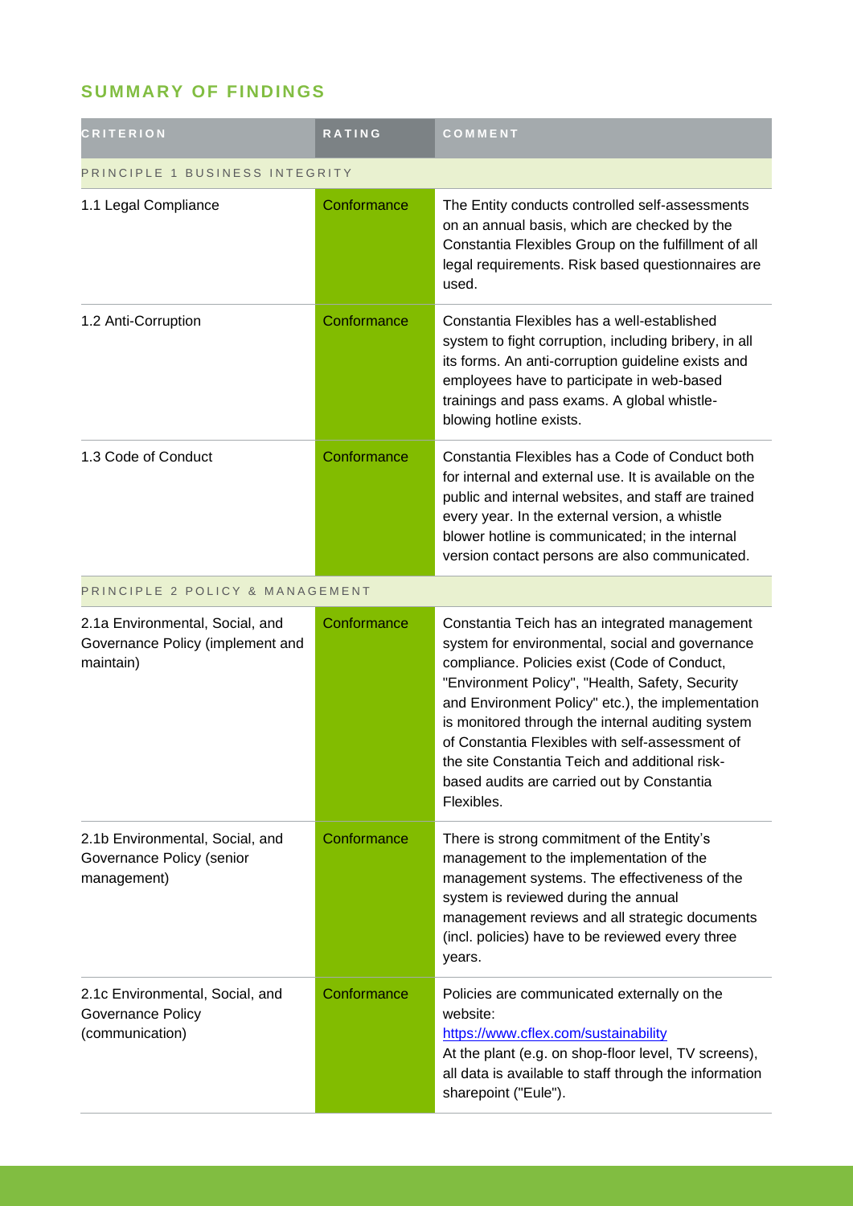## **SUMMARY OF FINDINGS**

| <b>CRITERION</b>                                                                 | RATING      | COMMENT                                                                                                                                                                                                                                                                                                                                                                                                                                                                        |  |
|----------------------------------------------------------------------------------|-------------|--------------------------------------------------------------------------------------------------------------------------------------------------------------------------------------------------------------------------------------------------------------------------------------------------------------------------------------------------------------------------------------------------------------------------------------------------------------------------------|--|
| PRINCIPLE 1 BUSINESS INTEGRITY                                                   |             |                                                                                                                                                                                                                                                                                                                                                                                                                                                                                |  |
| 1.1 Legal Compliance                                                             | Conformance | The Entity conducts controlled self-assessments<br>on an annual basis, which are checked by the<br>Constantia Flexibles Group on the fulfillment of all<br>legal requirements. Risk based questionnaires are<br>used.                                                                                                                                                                                                                                                          |  |
| 1.2 Anti-Corruption                                                              | Conformance | Constantia Flexibles has a well-established<br>system to fight corruption, including bribery, in all<br>its forms. An anti-corruption guideline exists and<br>employees have to participate in web-based<br>trainings and pass exams. A global whistle-<br>blowing hotline exists.                                                                                                                                                                                             |  |
| 1.3 Code of Conduct                                                              | Conformance | Constantia Flexibles has a Code of Conduct both<br>for internal and external use. It is available on the<br>public and internal websites, and staff are trained<br>every year. In the external version, a whistle<br>blower hotline is communicated; in the internal<br>version contact persons are also communicated.                                                                                                                                                         |  |
| PRINCIPLE 2 POLICY & MANAGEMENT                                                  |             |                                                                                                                                                                                                                                                                                                                                                                                                                                                                                |  |
| 2.1a Environmental, Social, and<br>Governance Policy (implement and<br>maintain) | Conformance | Constantia Teich has an integrated management<br>system for environmental, social and governance<br>compliance. Policies exist (Code of Conduct,<br>"Environment Policy", "Health, Safety, Security<br>and Environment Policy" etc.), the implementation<br>is monitored through the internal auditing system<br>of Constantia Flexibles with self-assessment of<br>the site Constantia Teich and additional risk-<br>based audits are carried out by Constantia<br>Flexibles. |  |
| 2.1b Environmental, Social, and<br>Governance Policy (senior<br>management)      | Conformance | There is strong commitment of the Entity's<br>management to the implementation of the<br>management systems. The effectiveness of the<br>system is reviewed during the annual<br>management reviews and all strategic documents<br>(incl. policies) have to be reviewed every three<br>years.                                                                                                                                                                                  |  |
| 2.1c Environmental, Social, and<br>Governance Policy<br>(communication)          | Conformance | Policies are communicated externally on the<br>website:<br>https://www.cflex.com/sustainability<br>At the plant (e.g. on shop-floor level, TV screens),<br>all data is available to staff through the information<br>sharepoint ("Eule").                                                                                                                                                                                                                                      |  |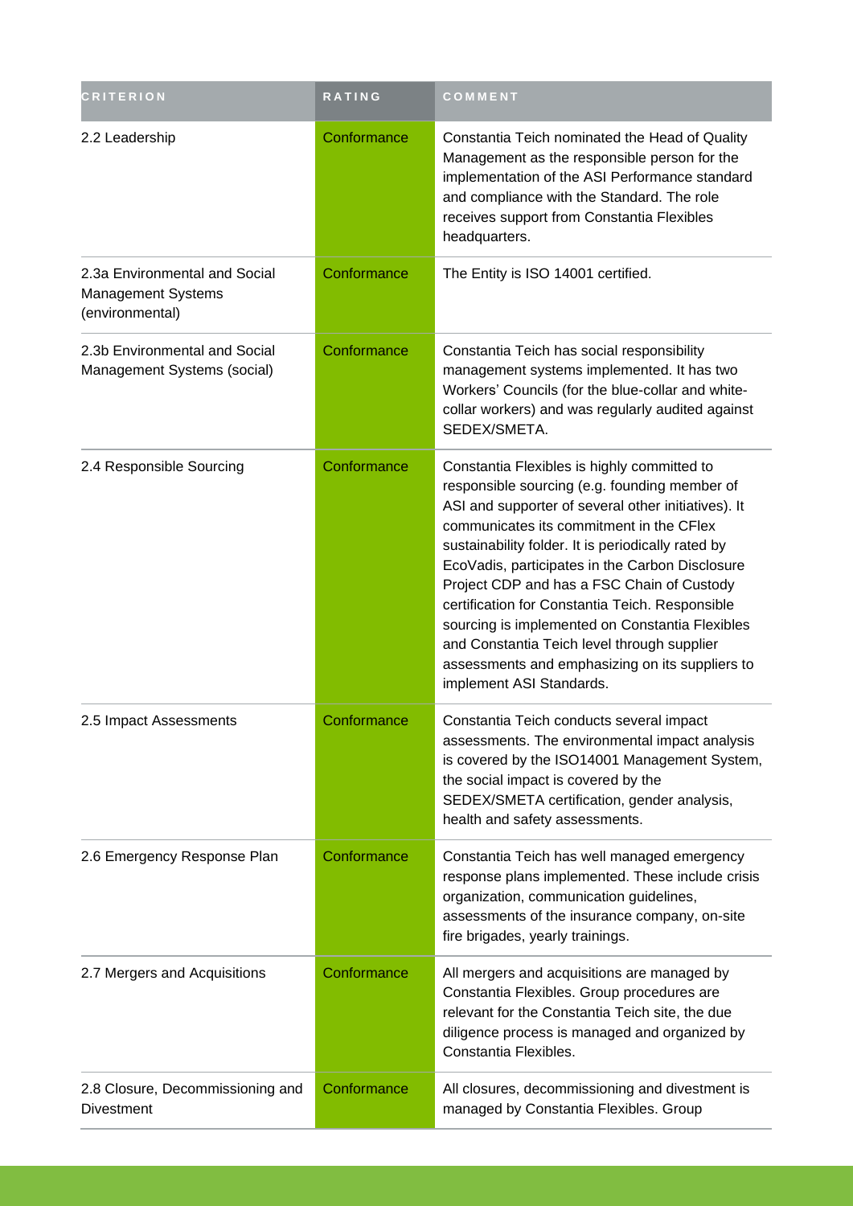| <b>CRITERION</b>                                                       | <b>RATING</b> | COMMENT                                                                                                                                                                                                                                                                                                                                                                                                                                                                                                                                                                                    |
|------------------------------------------------------------------------|---------------|--------------------------------------------------------------------------------------------------------------------------------------------------------------------------------------------------------------------------------------------------------------------------------------------------------------------------------------------------------------------------------------------------------------------------------------------------------------------------------------------------------------------------------------------------------------------------------------------|
| 2.2 Leadership                                                         | Conformance   | Constantia Teich nominated the Head of Quality<br>Management as the responsible person for the<br>implementation of the ASI Performance standard<br>and compliance with the Standard. The role<br>receives support from Constantia Flexibles<br>headquarters.                                                                                                                                                                                                                                                                                                                              |
| 2.3a Environmental and Social<br>Management Systems<br>(environmental) | Conformance   | The Entity is ISO 14001 certified.                                                                                                                                                                                                                                                                                                                                                                                                                                                                                                                                                         |
| 2.3b Environmental and Social<br>Management Systems (social)           | Conformance   | Constantia Teich has social responsibility<br>management systems implemented. It has two<br>Workers' Councils (for the blue-collar and white-<br>collar workers) and was regularly audited against<br>SEDEX/SMETA.                                                                                                                                                                                                                                                                                                                                                                         |
| 2.4 Responsible Sourcing                                               | Conformance   | Constantia Flexibles is highly committed to<br>responsible sourcing (e.g. founding member of<br>ASI and supporter of several other initiatives). It<br>communicates its commitment in the CFlex<br>sustainability folder. It is periodically rated by<br>EcoVadis, participates in the Carbon Disclosure<br>Project CDP and has a FSC Chain of Custody<br>certification for Constantia Teich. Responsible<br>sourcing is implemented on Constantia Flexibles<br>and Constantia Teich level through supplier<br>assessments and emphasizing on its suppliers to<br>implement ASI Standards. |
| 2.5 Impact Assessments                                                 | Conformance   | Constantia Teich conducts several impact<br>assessments. The environmental impact analysis<br>is covered by the ISO14001 Management System,<br>the social impact is covered by the<br>SEDEX/SMETA certification, gender analysis,<br>health and safety assessments.                                                                                                                                                                                                                                                                                                                        |
| 2.6 Emergency Response Plan                                            | Conformance   | Constantia Teich has well managed emergency<br>response plans implemented. These include crisis<br>organization, communication guidelines,<br>assessments of the insurance company, on-site<br>fire brigades, yearly trainings.                                                                                                                                                                                                                                                                                                                                                            |
| 2.7 Mergers and Acquisitions                                           | Conformance   | All mergers and acquisitions are managed by<br>Constantia Flexibles. Group procedures are<br>relevant for the Constantia Teich site, the due<br>diligence process is managed and organized by<br>Constantia Flexibles.                                                                                                                                                                                                                                                                                                                                                                     |
| 2.8 Closure, Decommissioning and<br><b>Divestment</b>                  | Conformance   | All closures, decommissioning and divestment is<br>managed by Constantia Flexibles. Group                                                                                                                                                                                                                                                                                                                                                                                                                                                                                                  |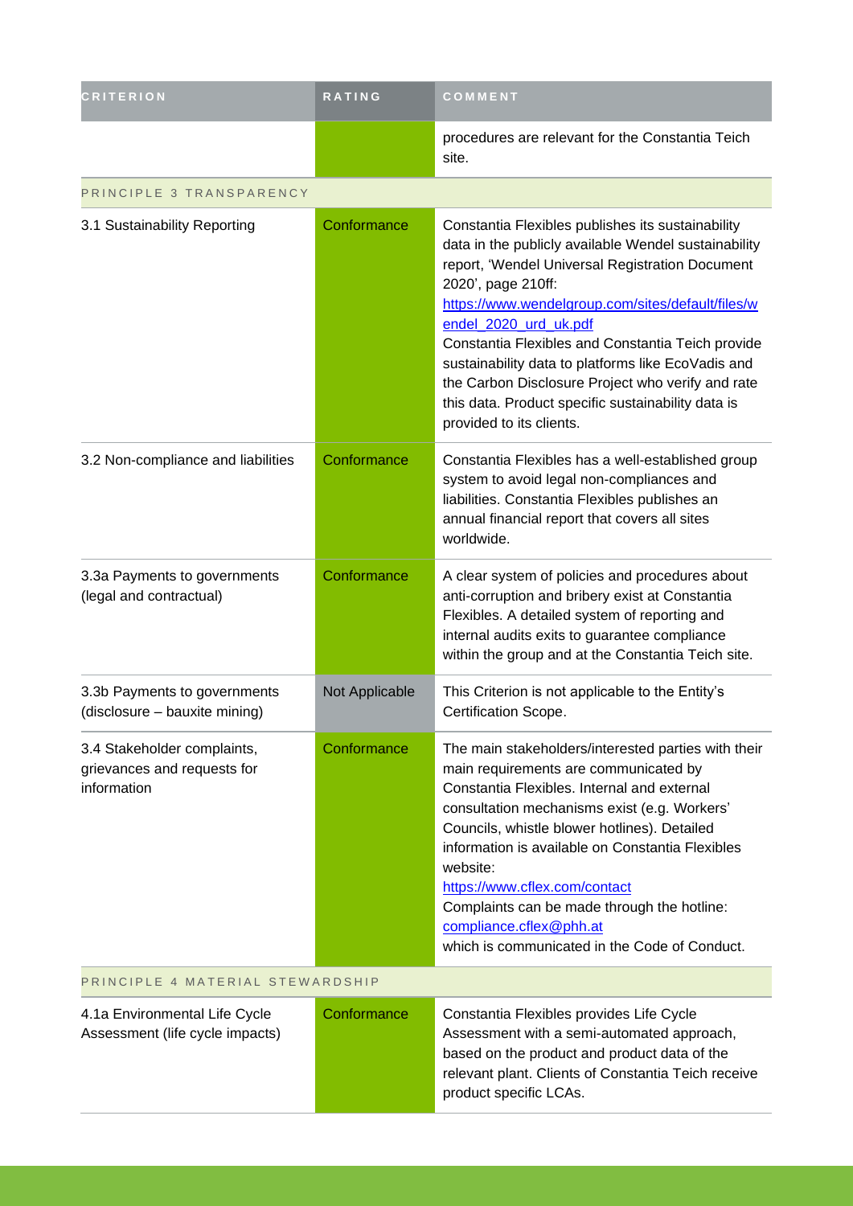| <b>CRITERION</b>                                                          | <b>RATING</b>  | COMMENT                                                                                                                                                                                                                                                                                                                                                                                                                                                                                                            |  |
|---------------------------------------------------------------------------|----------------|--------------------------------------------------------------------------------------------------------------------------------------------------------------------------------------------------------------------------------------------------------------------------------------------------------------------------------------------------------------------------------------------------------------------------------------------------------------------------------------------------------------------|--|
|                                                                           |                | procedures are relevant for the Constantia Teich<br>site.                                                                                                                                                                                                                                                                                                                                                                                                                                                          |  |
| PRINCIPLE 3 TRANSPARENCY                                                  |                |                                                                                                                                                                                                                                                                                                                                                                                                                                                                                                                    |  |
| 3.1 Sustainability Reporting                                              | Conformance    | Constantia Flexibles publishes its sustainability<br>data in the publicly available Wendel sustainability<br>report, 'Wendel Universal Registration Document<br>2020', page 210ff:<br>https://www.wendelgroup.com/sites/default/files/w<br>endel_2020_urd_uk.pdf<br>Constantia Flexibles and Constantia Teich provide<br>sustainability data to platforms like EcoVadis and<br>the Carbon Disclosure Project who verify and rate<br>this data. Product specific sustainability data is<br>provided to its clients. |  |
| 3.2 Non-compliance and liabilities                                        | Conformance    | Constantia Flexibles has a well-established group<br>system to avoid legal non-compliances and<br>liabilities. Constantia Flexibles publishes an<br>annual financial report that covers all sites<br>worldwide.                                                                                                                                                                                                                                                                                                    |  |
| 3.3a Payments to governments<br>(legal and contractual)                   | Conformance    | A clear system of policies and procedures about<br>anti-corruption and bribery exist at Constantia<br>Flexibles. A detailed system of reporting and<br>internal audits exits to guarantee compliance<br>within the group and at the Constantia Teich site.                                                                                                                                                                                                                                                         |  |
| 3.3b Payments to governments<br>(disclosure - bauxite mining)             | Not Applicable | This Criterion is not applicable to the Entity's<br>Certification Scope.                                                                                                                                                                                                                                                                                                                                                                                                                                           |  |
| 3.4 Stakeholder complaints,<br>grievances and requests for<br>information | Conformance    | The main stakeholders/interested parties with their<br>main requirements are communicated by<br>Constantia Flexibles, Internal and external<br>consultation mechanisms exist (e.g. Workers'<br>Councils, whistle blower hotlines). Detailed<br>information is available on Constantia Flexibles<br>website:<br>https://www.cflex.com/contact<br>Complaints can be made through the hotline:<br>compliance.cflex@phh.at<br>which is communicated in the Code of Conduct.                                            |  |
| PRINCIPLE 4 MATERIAL STEWARDSHIP                                          |                |                                                                                                                                                                                                                                                                                                                                                                                                                                                                                                                    |  |
| 4.1a Environmental Life Cycle<br>Assessment (life cycle impacts)          | Conformance    | Constantia Flexibles provides Life Cycle<br>Assessment with a semi-automated approach,<br>based on the product and product data of the<br>relevant plant. Clients of Constantia Teich receive<br>product specific LCAs.                                                                                                                                                                                                                                                                                            |  |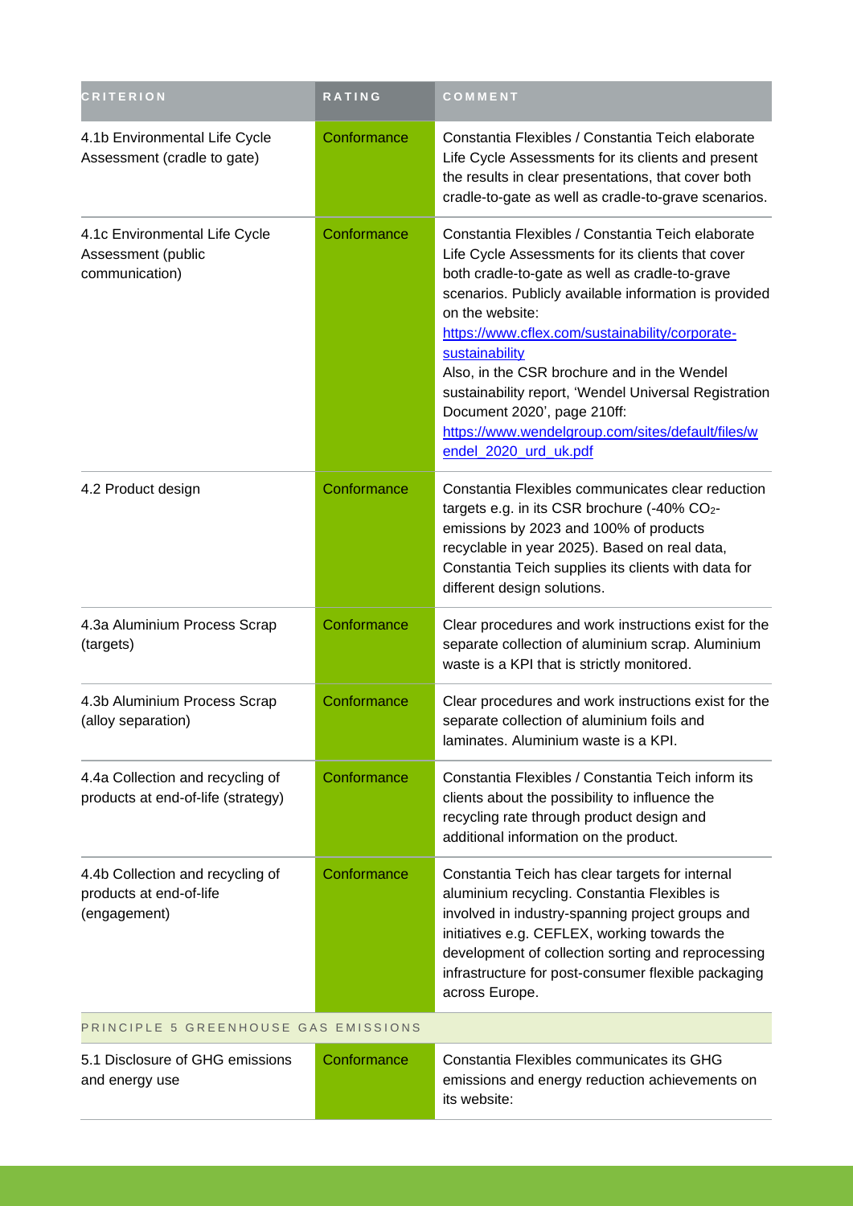| <b>CRITERION</b>                                                            | <b>RATING</b> | COMMENT                                                                                                                                                                                                                                                                                                                                                                                                                                                                                                                        |  |
|-----------------------------------------------------------------------------|---------------|--------------------------------------------------------------------------------------------------------------------------------------------------------------------------------------------------------------------------------------------------------------------------------------------------------------------------------------------------------------------------------------------------------------------------------------------------------------------------------------------------------------------------------|--|
| 4.1b Environmental Life Cycle<br>Assessment (cradle to gate)                | Conformance   | Constantia Flexibles / Constantia Teich elaborate<br>Life Cycle Assessments for its clients and present<br>the results in clear presentations, that cover both<br>cradle-to-gate as well as cradle-to-grave scenarios.                                                                                                                                                                                                                                                                                                         |  |
| 4.1c Environmental Life Cycle<br>Assessment (public<br>communication)       | Conformance   | Constantia Flexibles / Constantia Teich elaborate<br>Life Cycle Assessments for its clients that cover<br>both cradle-to-gate as well as cradle-to-grave<br>scenarios. Publicly available information is provided<br>on the website:<br>https://www.cflex.com/sustainability/corporate-<br>sustainability<br>Also, in the CSR brochure and in the Wendel<br>sustainability report, 'Wendel Universal Registration<br>Document 2020', page 210ff:<br>https://www.wendelgroup.com/sites/default/files/w<br>endel_2020_urd_uk.pdf |  |
| 4.2 Product design                                                          | Conformance   | Constantia Flexibles communicates clear reduction<br>targets e.g. in its CSR brochure (-40% CO2-<br>emissions by 2023 and 100% of products<br>recyclable in year 2025). Based on real data,<br>Constantia Teich supplies its clients with data for<br>different design solutions.                                                                                                                                                                                                                                              |  |
| 4.3a Aluminium Process Scrap<br>(targets)                                   | Conformance   | Clear procedures and work instructions exist for the<br>separate collection of aluminium scrap. Aluminium<br>waste is a KPI that is strictly monitored.                                                                                                                                                                                                                                                                                                                                                                        |  |
| 4.3b Aluminium Process Scrap<br>(alloy separation)                          | Conformance   | Clear procedures and work instructions exist for the<br>separate collection of aluminium foils and<br>laminates. Aluminium waste is a KPI.                                                                                                                                                                                                                                                                                                                                                                                     |  |
| 4.4a Collection and recycling of<br>products at end-of-life (strategy)      | Conformance   | Constantia Flexibles / Constantia Teich inform its<br>clients about the possibility to influence the<br>recycling rate through product design and<br>additional information on the product.                                                                                                                                                                                                                                                                                                                                    |  |
| 4.4b Collection and recycling of<br>products at end-of-life<br>(engagement) | Conformance   | Constantia Teich has clear targets for internal<br>aluminium recycling. Constantia Flexibles is<br>involved in industry-spanning project groups and<br>initiatives e.g. CEFLEX, working towards the<br>development of collection sorting and reprocessing<br>infrastructure for post-consumer flexible packaging<br>across Europe.                                                                                                                                                                                             |  |
| PRINCIPLE 5 GREENHOUSE GAS EMISSIONS                                        |               |                                                                                                                                                                                                                                                                                                                                                                                                                                                                                                                                |  |
| 5.1 Disclosure of GHG emissions<br>and energy use                           | Conformance   | Constantia Flexibles communicates its GHG<br>emissions and energy reduction achievements on<br>its website:                                                                                                                                                                                                                                                                                                                                                                                                                    |  |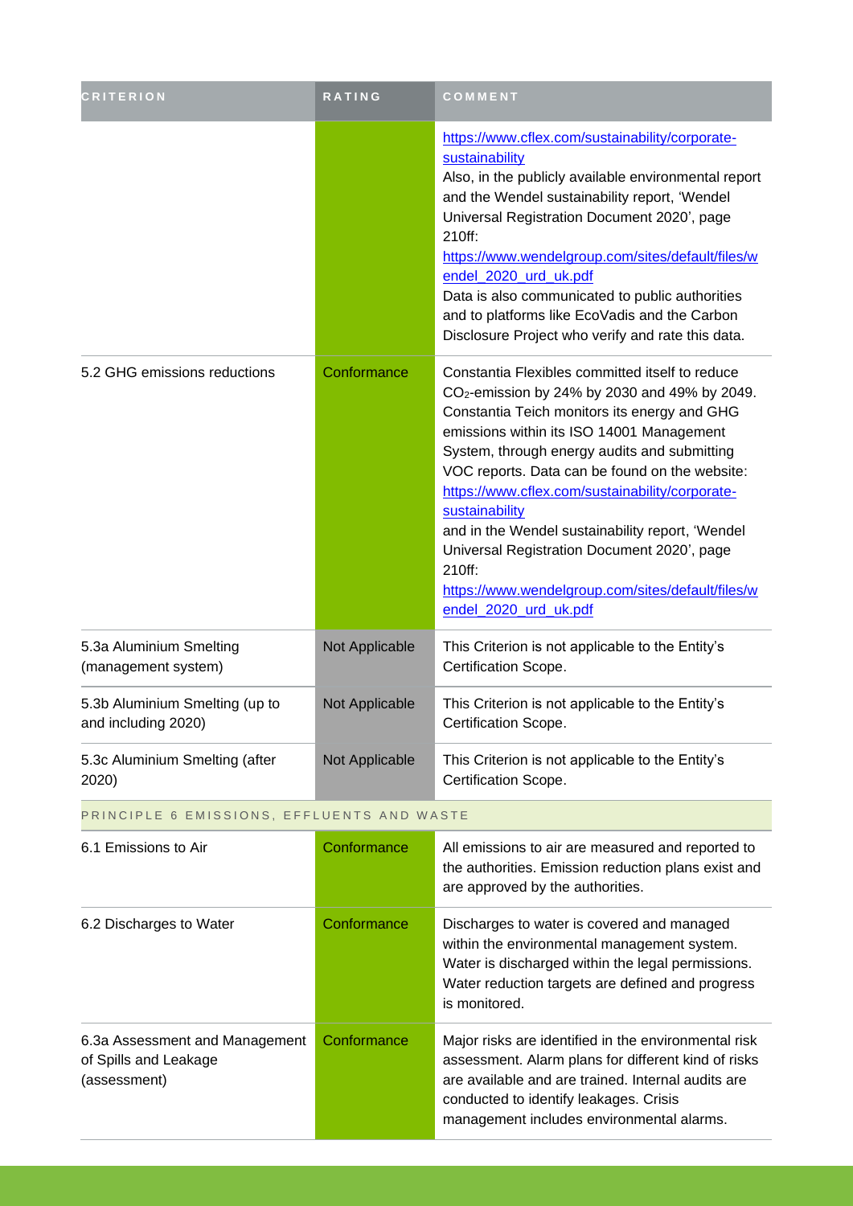| <b>CRITERION</b>                                      | RATING         | COMMENT                                                                                                                                                                                                                                                                                                                                                                                                                                                                                                                                                                     |
|-------------------------------------------------------|----------------|-----------------------------------------------------------------------------------------------------------------------------------------------------------------------------------------------------------------------------------------------------------------------------------------------------------------------------------------------------------------------------------------------------------------------------------------------------------------------------------------------------------------------------------------------------------------------------|
|                                                       |                | https://www.cflex.com/sustainability/corporate-<br>sustainability<br>Also, in the publicly available environmental report<br>and the Wendel sustainability report, 'Wendel<br>Universal Registration Document 2020', page<br>210ff:<br>https://www.wendelgroup.com/sites/default/files/w<br>endel_2020_urd_uk.pdf<br>Data is also communicated to public authorities<br>and to platforms like EcoVadis and the Carbon<br>Disclosure Project who verify and rate this data.                                                                                                  |
| 5.2 GHG emissions reductions                          | Conformance    | Constantia Flexibles committed itself to reduce<br>CO <sub>2</sub> -emission by 24% by 2030 and 49% by 2049.<br>Constantia Teich monitors its energy and GHG<br>emissions within its ISO 14001 Management<br>System, through energy audits and submitting<br>VOC reports. Data can be found on the website:<br>https://www.cflex.com/sustainability/corporate-<br>sustainability<br>and in the Wendel sustainability report, 'Wendel<br>Universal Registration Document 2020', page<br>210ff:<br>https://www.wendelgroup.com/sites/default/files/w<br>endel_2020_urd_uk.pdf |
| 5.3a Aluminium Smelting<br>(management system)        | Not Applicable | This Criterion is not applicable to the Entity's<br>Certification Scope.                                                                                                                                                                                                                                                                                                                                                                                                                                                                                                    |
| 5.3b Aluminium Smelting (up to<br>and including 2020) | Not Applicable | This Criterion is not applicable to the Entity's<br>Certification Scope.                                                                                                                                                                                                                                                                                                                                                                                                                                                                                                    |
| 5.3c Aluminium Smelting (after<br>2020)               | Not Applicable | This Criterion is not applicable to the Entity's<br>Certification Scope.                                                                                                                                                                                                                                                                                                                                                                                                                                                                                                    |

## PRINCIPLE 6 EMISSIONS, EFFLUENTS AND WASTE

| 6.1 Emissions to Air                                                    | Conformance | All emissions to air are measured and reported to<br>the authorities. Emission reduction plans exist and<br>are approved by the authorities.                                                                                                             |
|-------------------------------------------------------------------------|-------------|----------------------------------------------------------------------------------------------------------------------------------------------------------------------------------------------------------------------------------------------------------|
| 6.2 Discharges to Water                                                 | Conformance | Discharges to water is covered and managed<br>within the environmental management system.<br>Water is discharged within the legal permissions.<br>Water reduction targets are defined and progress<br>is monitored.                                      |
| 6.3a Assessment and Management<br>of Spills and Leakage<br>(assessment) | Conformance | Major risks are identified in the environmental risk<br>assessment. Alarm plans for different kind of risks<br>are available and are trained. Internal audits are<br>conducted to identify leakages. Crisis<br>management includes environmental alarms. |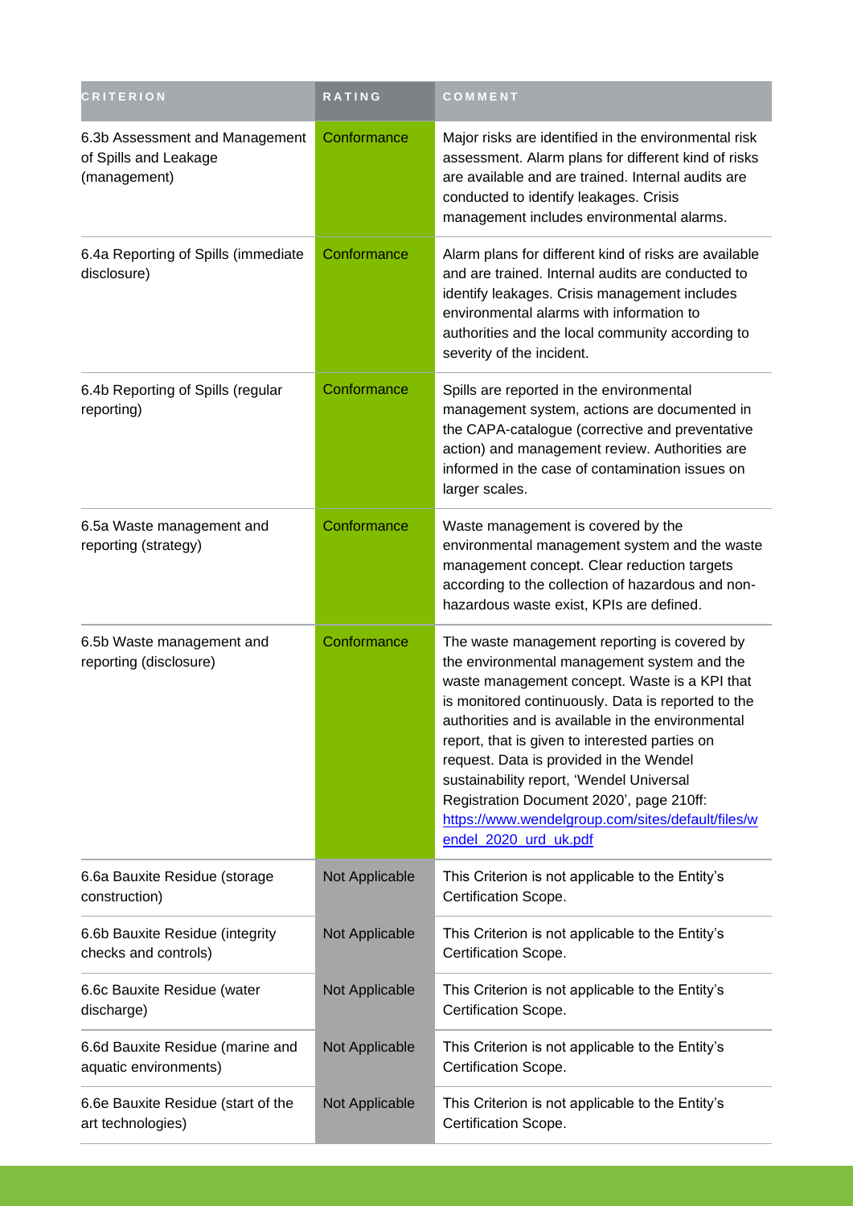| <b>CRITERION</b>                                                        | RATING         | COMMENT                                                                                                                                                                                                                                                                                                                                                                                                                                                                                                                    |
|-------------------------------------------------------------------------|----------------|----------------------------------------------------------------------------------------------------------------------------------------------------------------------------------------------------------------------------------------------------------------------------------------------------------------------------------------------------------------------------------------------------------------------------------------------------------------------------------------------------------------------------|
| 6.3b Assessment and Management<br>of Spills and Leakage<br>(management) | Conformance    | Major risks are identified in the environmental risk<br>assessment. Alarm plans for different kind of risks<br>are available and are trained. Internal audits are<br>conducted to identify leakages. Crisis<br>management includes environmental alarms.                                                                                                                                                                                                                                                                   |
| 6.4a Reporting of Spills (immediate<br>disclosure)                      | Conformance    | Alarm plans for different kind of risks are available<br>and are trained. Internal audits are conducted to<br>identify leakages. Crisis management includes<br>environmental alarms with information to<br>authorities and the local community according to<br>severity of the incident.                                                                                                                                                                                                                                   |
| 6.4b Reporting of Spills (regular<br>reporting)                         | Conformance    | Spills are reported in the environmental<br>management system, actions are documented in<br>the CAPA-catalogue (corrective and preventative<br>action) and management review. Authorities are<br>informed in the case of contamination issues on<br>larger scales.                                                                                                                                                                                                                                                         |
| 6.5a Waste management and<br>reporting (strategy)                       | Conformance    | Waste management is covered by the<br>environmental management system and the waste<br>management concept. Clear reduction targets<br>according to the collection of hazardous and non-<br>hazardous waste exist, KPIs are defined.                                                                                                                                                                                                                                                                                        |
| 6.5b Waste management and<br>reporting (disclosure)                     | Conformance    | The waste management reporting is covered by<br>the environmental management system and the<br>waste management concept. Waste is a KPI that<br>is monitored continuously. Data is reported to the<br>authorities and is available in the environmental<br>report, that is given to interested parties on<br>request. Data is provided in the Wendel<br>sustainability report, 'Wendel Universal<br>Registration Document 2020', page 210ff:<br>https://www.wendelgroup.com/sites/default/files/w<br>endel_2020_urd_uk.pdf |
| 6.6a Bauxite Residue (storage<br>construction)                          | Not Applicable | This Criterion is not applicable to the Entity's<br>Certification Scope.                                                                                                                                                                                                                                                                                                                                                                                                                                                   |
| 6.6b Bauxite Residue (integrity<br>checks and controls)                 | Not Applicable | This Criterion is not applicable to the Entity's<br>Certification Scope.                                                                                                                                                                                                                                                                                                                                                                                                                                                   |
| 6.6c Bauxite Residue (water<br>discharge)                               | Not Applicable | This Criterion is not applicable to the Entity's<br>Certification Scope.                                                                                                                                                                                                                                                                                                                                                                                                                                                   |
| 6.6d Bauxite Residue (marine and<br>aquatic environments)               | Not Applicable | This Criterion is not applicable to the Entity's<br>Certification Scope.                                                                                                                                                                                                                                                                                                                                                                                                                                                   |
| 6.6e Bauxite Residue (start of the<br>art technologies)                 | Not Applicable | This Criterion is not applicable to the Entity's<br>Certification Scope.                                                                                                                                                                                                                                                                                                                                                                                                                                                   |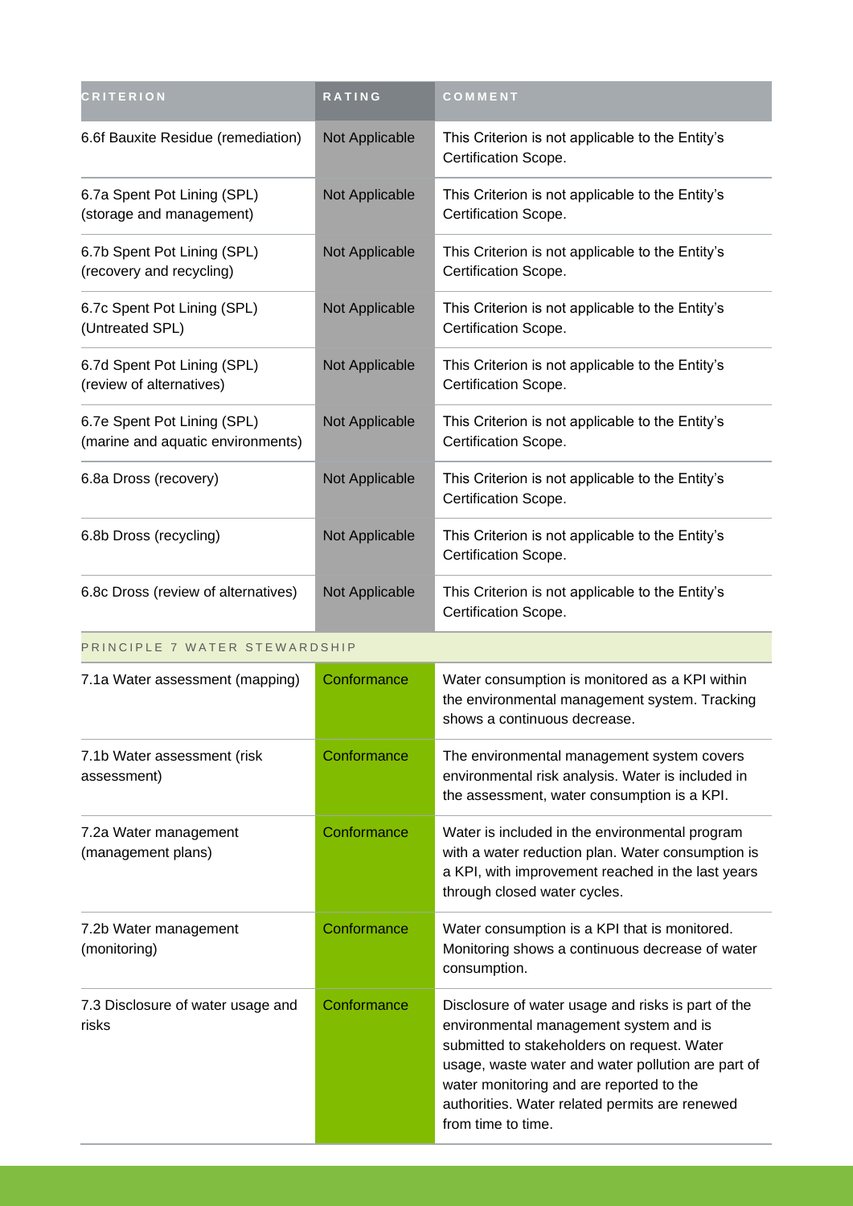| <b>CRITERION</b>                                                 | <b>RATING</b>  | COMMENT                                                                  |
|------------------------------------------------------------------|----------------|--------------------------------------------------------------------------|
| 6.6f Bauxite Residue (remediation)                               | Not Applicable | This Criterion is not applicable to the Entity's<br>Certification Scope. |
| 6.7a Spent Pot Lining (SPL)<br>(storage and management)          | Not Applicable | This Criterion is not applicable to the Entity's<br>Certification Scope. |
| 6.7b Spent Pot Lining (SPL)<br>(recovery and recycling)          | Not Applicable | This Criterion is not applicable to the Entity's<br>Certification Scope. |
| 6.7c Spent Pot Lining (SPL)<br>(Untreated SPL)                   | Not Applicable | This Criterion is not applicable to the Entity's<br>Certification Scope. |
| 6.7d Spent Pot Lining (SPL)<br>(review of alternatives)          | Not Applicable | This Criterion is not applicable to the Entity's<br>Certification Scope. |
| 6.7e Spent Pot Lining (SPL)<br>(marine and aquatic environments) | Not Applicable | This Criterion is not applicable to the Entity's<br>Certification Scope. |
| 6.8a Dross (recovery)                                            | Not Applicable | This Criterion is not applicable to the Entity's<br>Certification Scope. |
| 6.8b Dross (recycling)                                           | Not Applicable | This Criterion is not applicable to the Entity's<br>Certification Scope. |
| 6.8c Dross (review of alternatives)                              | Not Applicable | This Criterion is not applicable to the Entity's<br>Certification Scope. |

### PRINCIPLE 7 WATER STEWARDSHIP

| 7.1a Water assessment (mapping)             | Conformance | Water consumption is monitored as a KPI within<br>the environmental management system. Tracking<br>shows a continuous decrease.                                                                                                                                                                                       |
|---------------------------------------------|-------------|-----------------------------------------------------------------------------------------------------------------------------------------------------------------------------------------------------------------------------------------------------------------------------------------------------------------------|
| 7.1b Water assessment (risk<br>assessment)  | Conformance | The environmental management system covers<br>environmental risk analysis. Water is included in<br>the assessment, water consumption is a KPI.                                                                                                                                                                        |
| 7.2a Water management<br>(management plans) | Conformance | Water is included in the environmental program<br>with a water reduction plan. Water consumption is<br>a KPI, with improvement reached in the last years<br>through closed water cycles.                                                                                                                              |
| 7.2b Water management<br>(monitoring)       | Conformance | Water consumption is a KPI that is monitored.<br>Monitoring shows a continuous decrease of water<br>consumption.                                                                                                                                                                                                      |
| 7.3 Disclosure of water usage and<br>risks  | Conformance | Disclosure of water usage and risks is part of the<br>environmental management system and is<br>submitted to stakeholders on request. Water<br>usage, waste water and water pollution are part of<br>water monitoring and are reported to the<br>authorities. Water related permits are renewed<br>from time to time. |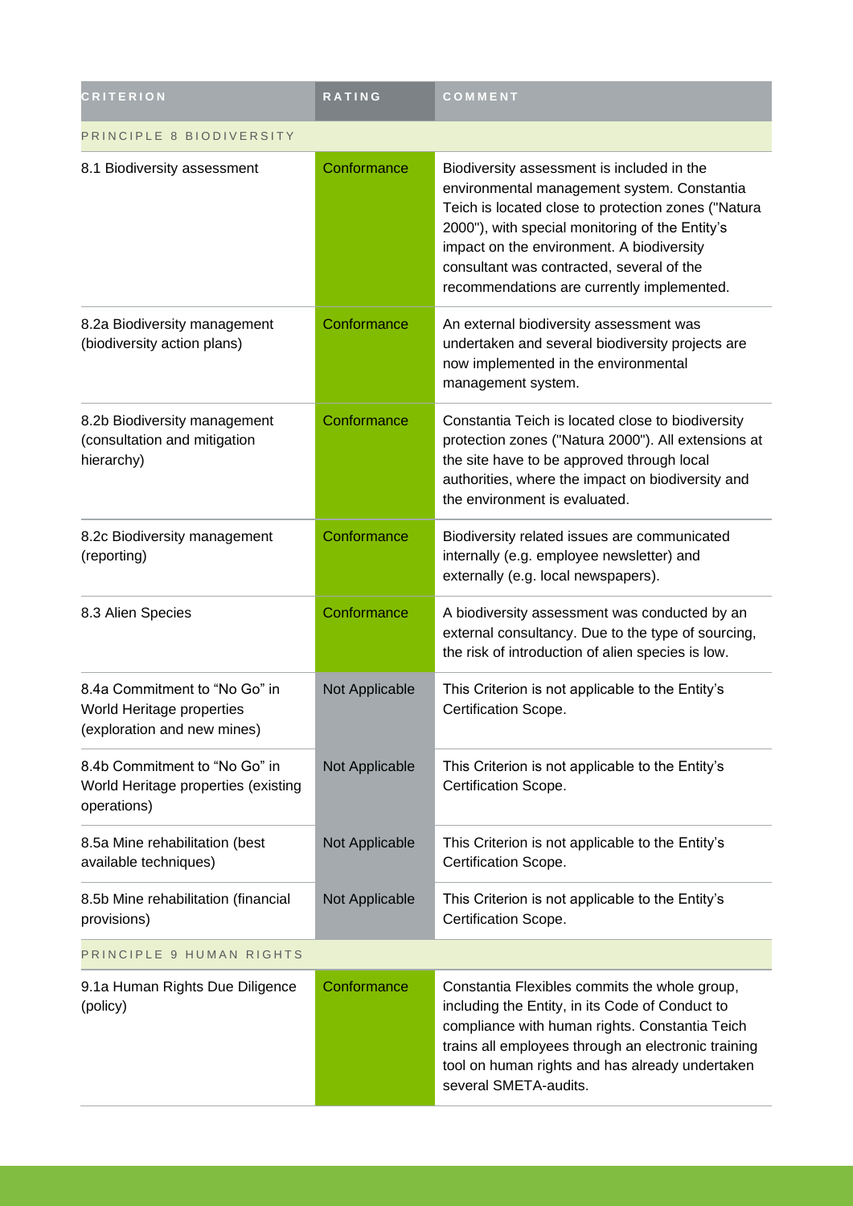| <b>CRITERION</b>                                                                          | <b>RATING</b>  | COMMENT                                                                                                                                                                                                                                                                                                                                     |  |
|-------------------------------------------------------------------------------------------|----------------|---------------------------------------------------------------------------------------------------------------------------------------------------------------------------------------------------------------------------------------------------------------------------------------------------------------------------------------------|--|
| PRINCIPLE 8 BIODIVERSITY                                                                  |                |                                                                                                                                                                                                                                                                                                                                             |  |
| 8.1 Biodiversity assessment                                                               | Conformance    | Biodiversity assessment is included in the<br>environmental management system. Constantia<br>Teich is located close to protection zones ("Natura<br>2000"), with special monitoring of the Entity's<br>impact on the environment. A biodiversity<br>consultant was contracted, several of the<br>recommendations are currently implemented. |  |
| 8.2a Biodiversity management<br>(biodiversity action plans)                               | Conformance    | An external biodiversity assessment was<br>undertaken and several biodiversity projects are<br>now implemented in the environmental<br>management system.                                                                                                                                                                                   |  |
| 8.2b Biodiversity management<br>(consultation and mitigation<br>hierarchy)                | Conformance    | Constantia Teich is located close to biodiversity<br>protection zones ("Natura 2000"). All extensions at<br>the site have to be approved through local<br>authorities, where the impact on biodiversity and<br>the environment is evaluated.                                                                                                |  |
| 8.2c Biodiversity management<br>(reporting)                                               | Conformance    | Biodiversity related issues are communicated<br>internally (e.g. employee newsletter) and<br>externally (e.g. local newspapers).                                                                                                                                                                                                            |  |
| 8.3 Alien Species                                                                         | Conformance    | A biodiversity assessment was conducted by an<br>external consultancy. Due to the type of sourcing,<br>the risk of introduction of alien species is low.                                                                                                                                                                                    |  |
| 8.4a Commitment to "No Go" in<br>World Heritage properties<br>(exploration and new mines) | Not Applicable | This Criterion is not applicable to the Entity's<br>Certification Scope.                                                                                                                                                                                                                                                                    |  |
| 8.4b Commitment to "No Go" in<br>World Heritage properties (existing<br>operations)       | Not Applicable | This Criterion is not applicable to the Entity's<br>Certification Scope.                                                                                                                                                                                                                                                                    |  |
| 8.5a Mine rehabilitation (best<br>available techniques)                                   | Not Applicable | This Criterion is not applicable to the Entity's<br>Certification Scope.                                                                                                                                                                                                                                                                    |  |
| 8.5b Mine rehabilitation (financial<br>provisions)                                        | Not Applicable | This Criterion is not applicable to the Entity's<br>Certification Scope.                                                                                                                                                                                                                                                                    |  |
| PRINCIPLE 9 HUMAN RIGHTS                                                                  |                |                                                                                                                                                                                                                                                                                                                                             |  |
| 9.1a Human Rights Due Diligence<br>(policy)                                               | Conformance    | Constantia Flexibles commits the whole group,<br>including the Entity, in its Code of Conduct to<br>compliance with human rights. Constantia Teich<br>trains all employees through an electronic training<br>tool on human rights and has already undertaken<br>several SMETA-audits.                                                       |  |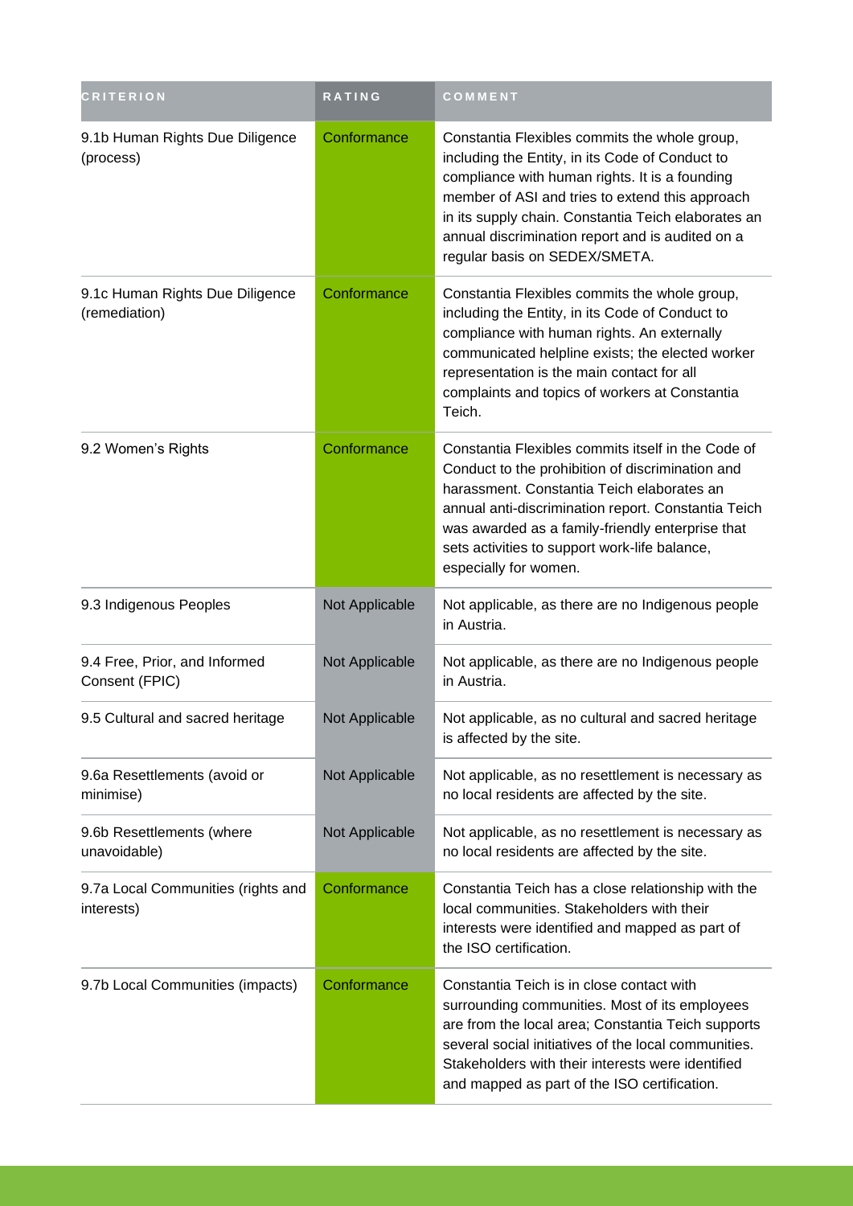| <b>CRITERION</b>                                 | <b>RATING</b>  | COMMENT                                                                                                                                                                                                                                                                                                                                           |
|--------------------------------------------------|----------------|---------------------------------------------------------------------------------------------------------------------------------------------------------------------------------------------------------------------------------------------------------------------------------------------------------------------------------------------------|
| 9.1b Human Rights Due Diligence<br>(process)     | Conformance    | Constantia Flexibles commits the whole group,<br>including the Entity, in its Code of Conduct to<br>compliance with human rights. It is a founding<br>member of ASI and tries to extend this approach<br>in its supply chain. Constantia Teich elaborates an<br>annual discrimination report and is audited on a<br>regular basis on SEDEX/SMETA. |
| 9.1c Human Rights Due Diligence<br>(remediation) | Conformance    | Constantia Flexibles commits the whole group,<br>including the Entity, in its Code of Conduct to<br>compliance with human rights. An externally<br>communicated helpline exists; the elected worker<br>representation is the main contact for all<br>complaints and topics of workers at Constantia<br>Teich.                                     |
| 9.2 Women's Rights                               | Conformance    | Constantia Flexibles commits itself in the Code of<br>Conduct to the prohibition of discrimination and<br>harassment. Constantia Teich elaborates an<br>annual anti-discrimination report. Constantia Teich<br>was awarded as a family-friendly enterprise that<br>sets activities to support work-life balance,<br>especially for women.         |
| 9.3 Indigenous Peoples                           | Not Applicable | Not applicable, as there are no Indigenous people<br>in Austria.                                                                                                                                                                                                                                                                                  |
| 9.4 Free, Prior, and Informed<br>Consent (FPIC)  | Not Applicable | Not applicable, as there are no Indigenous people<br>in Austria.                                                                                                                                                                                                                                                                                  |
| 9.5 Cultural and sacred heritage                 | Not Applicable | Not applicable, as no cultural and sacred heritage<br>is affected by the site.                                                                                                                                                                                                                                                                    |
| 9.6a Resettlements (avoid or<br>minimise)        | Not Applicable | Not applicable, as no resettlement is necessary as<br>no local residents are affected by the site.                                                                                                                                                                                                                                                |
| 9.6b Resettlements (where<br>unavoidable)        | Not Applicable | Not applicable, as no resettlement is necessary as<br>no local residents are affected by the site.                                                                                                                                                                                                                                                |
| 9.7a Local Communities (rights and<br>interests) | Conformance    | Constantia Teich has a close relationship with the<br>local communities. Stakeholders with their<br>interests were identified and mapped as part of<br>the ISO certification.                                                                                                                                                                     |
| 9.7b Local Communities (impacts)                 | Conformance    | Constantia Teich is in close contact with<br>surrounding communities. Most of its employees<br>are from the local area; Constantia Teich supports<br>several social initiatives of the local communities.<br>Stakeholders with their interests were identified<br>and mapped as part of the ISO certification.                                    |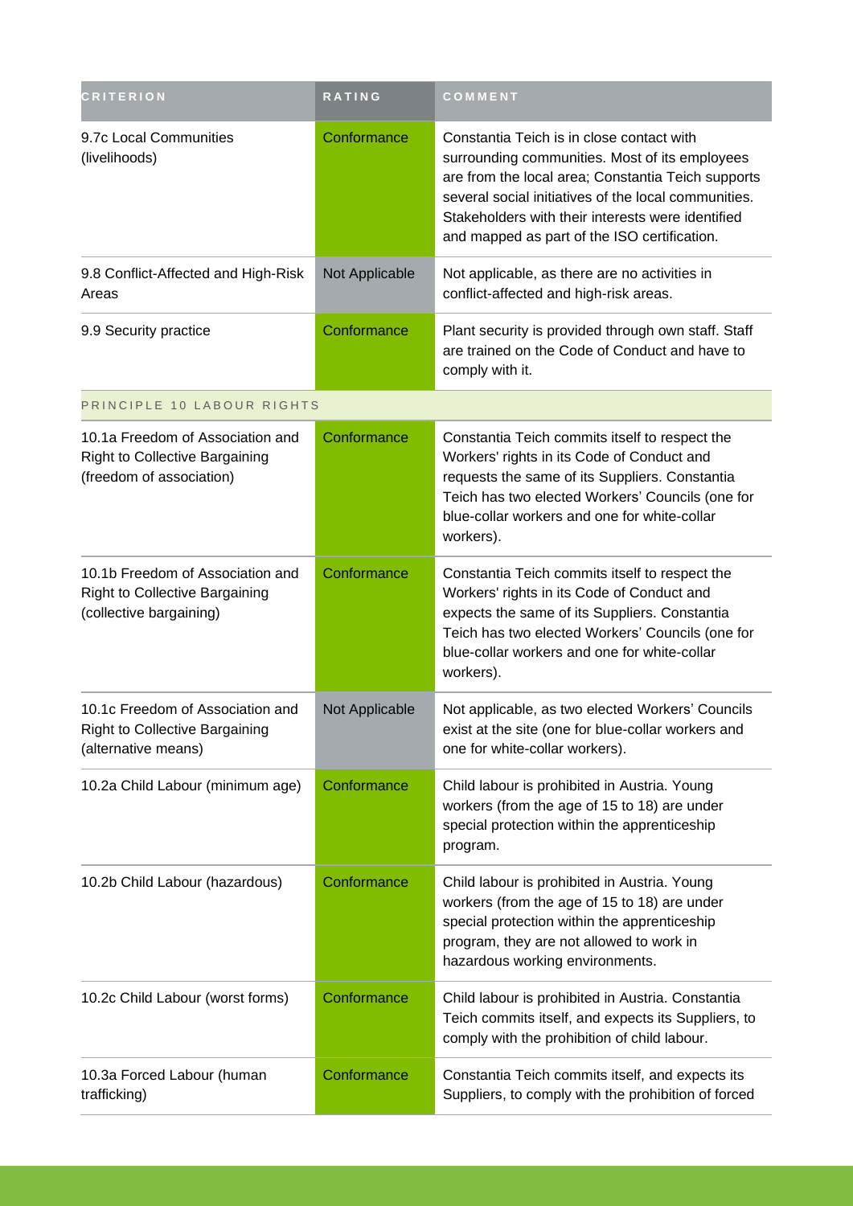| <b>CRITERION</b>                                                                                      | <b>RATING</b>  | COMMENT                                                                                                                                                                                                                                                                                                        |
|-------------------------------------------------------------------------------------------------------|----------------|----------------------------------------------------------------------------------------------------------------------------------------------------------------------------------------------------------------------------------------------------------------------------------------------------------------|
| 9.7c Local Communities<br>(livelihoods)                                                               | Conformance    | Constantia Teich is in close contact with<br>surrounding communities. Most of its employees<br>are from the local area; Constantia Teich supports<br>several social initiatives of the local communities.<br>Stakeholders with their interests were identified<br>and mapped as part of the ISO certification. |
| 9.8 Conflict-Affected and High-Risk<br>Areas                                                          | Not Applicable | Not applicable, as there are no activities in<br>conflict-affected and high-risk areas.                                                                                                                                                                                                                        |
| 9.9 Security practice                                                                                 | Conformance    | Plant security is provided through own staff. Staff<br>are trained on the Code of Conduct and have to<br>comply with it.                                                                                                                                                                                       |
| PRINCIPLE 10 LABOUR RIGHTS                                                                            |                |                                                                                                                                                                                                                                                                                                                |
| 10.1a Freedom of Association and<br><b>Right to Collective Bargaining</b><br>(freedom of association) | Conformance    | Constantia Teich commits itself to respect the<br>Workers' rights in its Code of Conduct and<br>requests the same of its Suppliers. Constantia<br>Teich has two elected Workers' Councils (one for<br>blue-collar workers and one for white-collar<br>workers).                                                |
| 10.1b Freedom of Association and<br><b>Right to Collective Bargaining</b><br>(collective bargaining)  | Conformance    | Constantia Teich commits itself to respect the<br>Workers' rights in its Code of Conduct and<br>expects the same of its Suppliers. Constantia<br>Teich has two elected Workers' Councils (one for<br>blue-collar workers and one for white-collar<br>workers).                                                 |
| 10.1c Freedom of Association and<br><b>Right to Collective Bargaining</b><br>(alternative means)      | Not Applicable | Not applicable, as two elected Workers' Councils<br>exist at the site (one for blue-collar workers and<br>one for white-collar workers).                                                                                                                                                                       |
| 10.2a Child Labour (minimum age)                                                                      | Conformance    | Child labour is prohibited in Austria. Young<br>workers (from the age of 15 to 18) are under<br>special protection within the apprenticeship<br>program.                                                                                                                                                       |
| 10.2b Child Labour (hazardous)                                                                        | Conformance    | Child labour is prohibited in Austria. Young<br>workers (from the age of 15 to 18) are under<br>special protection within the apprenticeship<br>program, they are not allowed to work in<br>hazardous working environments.                                                                                    |
| 10.2c Child Labour (worst forms)                                                                      | Conformance    | Child labour is prohibited in Austria. Constantia<br>Teich commits itself, and expects its Suppliers, to<br>comply with the prohibition of child labour.                                                                                                                                                       |
| 10.3a Forced Labour (human<br>trafficking)                                                            | Conformance    | Constantia Teich commits itself, and expects its<br>Suppliers, to comply with the prohibition of forced                                                                                                                                                                                                        |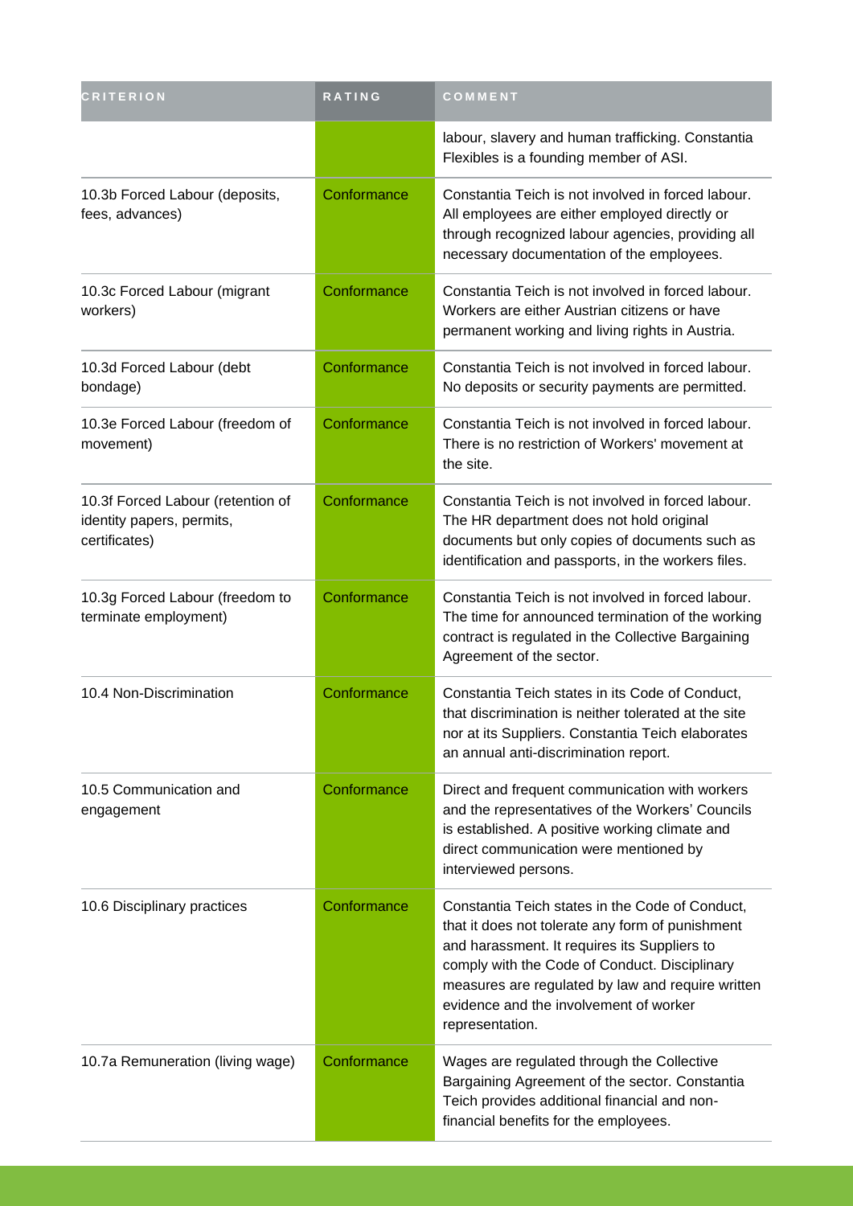| <b>CRITERION</b>                                                                | RATING      | COMMENT                                                                                                                                                                                                                                                                                                                |
|---------------------------------------------------------------------------------|-------------|------------------------------------------------------------------------------------------------------------------------------------------------------------------------------------------------------------------------------------------------------------------------------------------------------------------------|
|                                                                                 |             | labour, slavery and human trafficking. Constantia<br>Flexibles is a founding member of ASI.                                                                                                                                                                                                                            |
| 10.3b Forced Labour (deposits,<br>fees, advances)                               | Conformance | Constantia Teich is not involved in forced labour.<br>All employees are either employed directly or<br>through recognized labour agencies, providing all<br>necessary documentation of the employees.                                                                                                                  |
| 10.3c Forced Labour (migrant<br>workers)                                        | Conformance | Constantia Teich is not involved in forced labour.<br>Workers are either Austrian citizens or have<br>permanent working and living rights in Austria.                                                                                                                                                                  |
| 10.3d Forced Labour (debt<br>bondage)                                           | Conformance | Constantia Teich is not involved in forced labour.<br>No deposits or security payments are permitted.                                                                                                                                                                                                                  |
| 10.3e Forced Labour (freedom of<br>movement)                                    | Conformance | Constantia Teich is not involved in forced labour.<br>There is no restriction of Workers' movement at<br>the site.                                                                                                                                                                                                     |
| 10.3f Forced Labour (retention of<br>identity papers, permits,<br>certificates) | Conformance | Constantia Teich is not involved in forced labour.<br>The HR department does not hold original<br>documents but only copies of documents such as<br>identification and passports, in the workers files.                                                                                                                |
| 10.3g Forced Labour (freedom to<br>terminate employment)                        | Conformance | Constantia Teich is not involved in forced labour.<br>The time for announced termination of the working<br>contract is regulated in the Collective Bargaining<br>Agreement of the sector.                                                                                                                              |
| 10.4 Non-Discrimination                                                         | Conformance | Constantia Teich states in its Code of Conduct,<br>that discrimination is neither tolerated at the site<br>nor at its Suppliers. Constantia Teich elaborates<br>an annual anti-discrimination report.                                                                                                                  |
| 10.5 Communication and<br>engagement                                            | Conformance | Direct and frequent communication with workers<br>and the representatives of the Workers' Councils<br>is established. A positive working climate and<br>direct communication were mentioned by<br>interviewed persons.                                                                                                 |
| 10.6 Disciplinary practices                                                     | Conformance | Constantia Teich states in the Code of Conduct,<br>that it does not tolerate any form of punishment<br>and harassment. It requires its Suppliers to<br>comply with the Code of Conduct. Disciplinary<br>measures are regulated by law and require written<br>evidence and the involvement of worker<br>representation. |
| 10.7a Remuneration (living wage)                                                | Conformance | Wages are regulated through the Collective<br>Bargaining Agreement of the sector. Constantia<br>Teich provides additional financial and non-<br>financial benefits for the employees.                                                                                                                                  |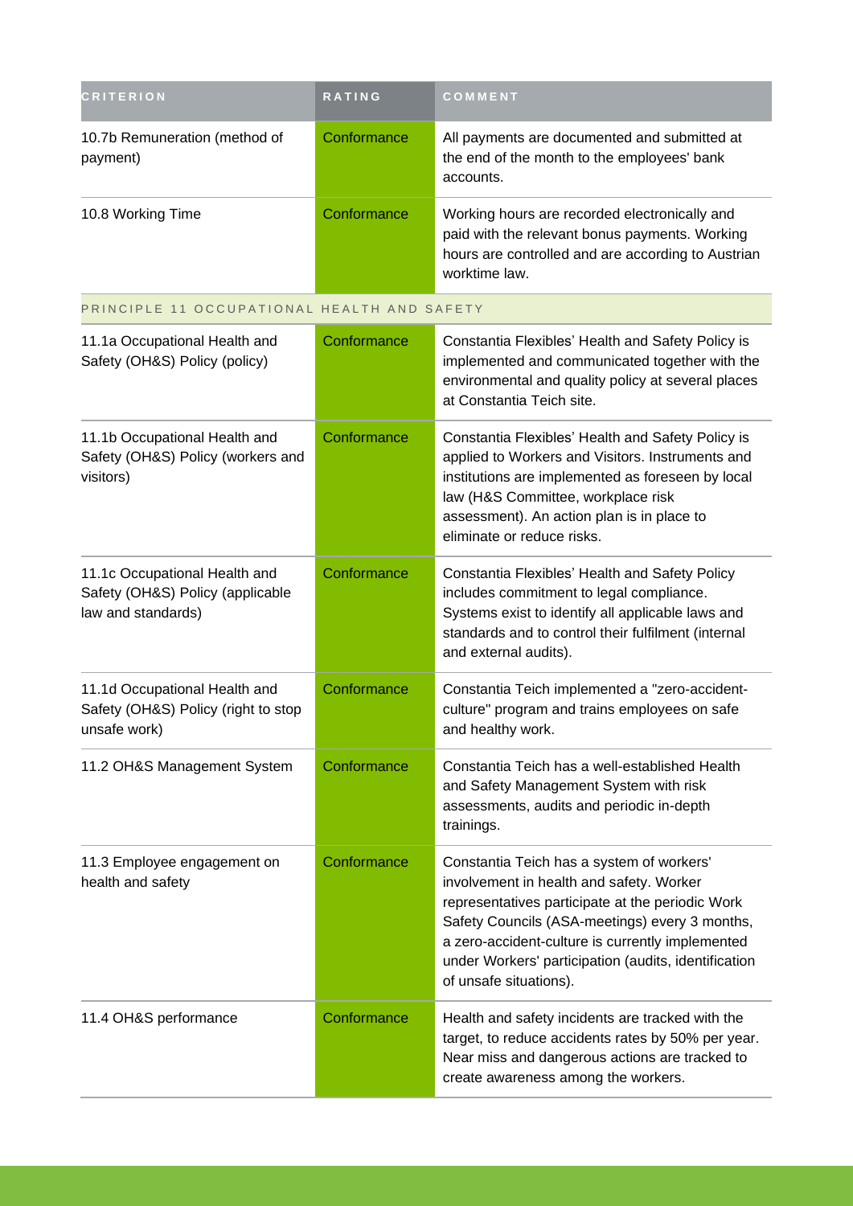| <b>CRITERION</b>                                                                        | <b>RATING</b> | COMMENT                                                                                                                                                                                                                                                                                                                           |  |  |
|-----------------------------------------------------------------------------------------|---------------|-----------------------------------------------------------------------------------------------------------------------------------------------------------------------------------------------------------------------------------------------------------------------------------------------------------------------------------|--|--|
| 10.7b Remuneration (method of<br>payment)                                               | Conformance   | All payments are documented and submitted at<br>the end of the month to the employees' bank<br>accounts.                                                                                                                                                                                                                          |  |  |
| 10.8 Working Time                                                                       | Conformance   | Working hours are recorded electronically and<br>paid with the relevant bonus payments. Working<br>hours are controlled and are according to Austrian<br>worktime law.                                                                                                                                                            |  |  |
| PRINCIPLE 11 OCCUPATIONAL HEALTH AND SAFETY                                             |               |                                                                                                                                                                                                                                                                                                                                   |  |  |
| 11.1a Occupational Health and<br>Safety (OH&S) Policy (policy)                          | Conformance   | Constantia Flexibles' Health and Safety Policy is<br>implemented and communicated together with the<br>environmental and quality policy at several places<br>at Constantia Teich site.                                                                                                                                            |  |  |
| 11.1b Occupational Health and<br>Safety (OH&S) Policy (workers and<br>visitors)         | Conformance   | Constantia Flexibles' Health and Safety Policy is<br>applied to Workers and Visitors. Instruments and<br>institutions are implemented as foreseen by local<br>law (H&S Committee, workplace risk<br>assessment). An action plan is in place to<br>eliminate or reduce risks.                                                      |  |  |
| 11.1c Occupational Health and<br>Safety (OH&S) Policy (applicable<br>law and standards) | Conformance   | Constantia Flexibles' Health and Safety Policy<br>includes commitment to legal compliance.<br>Systems exist to identify all applicable laws and<br>standards and to control their fulfilment (internal<br>and external audits).                                                                                                   |  |  |
| 11.1d Occupational Health and<br>Safety (OH&S) Policy (right to stop<br>unsafe work)    | Conformance   | Constantia Teich implemented a "zero-accident-<br>culture" program and trains employees on safe<br>and healthy work.                                                                                                                                                                                                              |  |  |
| 11.2 OH&S Management System                                                             | Conformance   | Constantia Teich has a well-established Health<br>and Safety Management System with risk<br>assessments, audits and periodic in-depth<br>trainings.                                                                                                                                                                               |  |  |
| 11.3 Employee engagement on<br>health and safety                                        | Conformance   | Constantia Teich has a system of workers'<br>involvement in health and safety. Worker<br>representatives participate at the periodic Work<br>Safety Councils (ASA-meetings) every 3 months,<br>a zero-accident-culture is currently implemented<br>under Workers' participation (audits, identification<br>of unsafe situations). |  |  |
| 11.4 OH&S performance                                                                   | Conformance   | Health and safety incidents are tracked with the<br>target, to reduce accidents rates by 50% per year.<br>Near miss and dangerous actions are tracked to<br>create awareness among the workers.                                                                                                                                   |  |  |